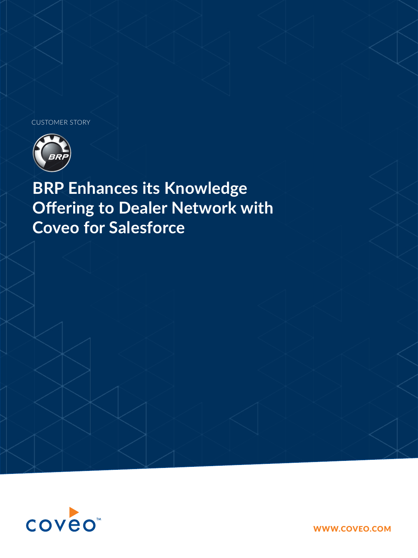CUSTOMER STORY



**BRP Enhances its Knowledge Offering to Dealer Network with Coveo for Salesforce**



[WWW.COVEO.COM](http://WWW.COVEO.COM)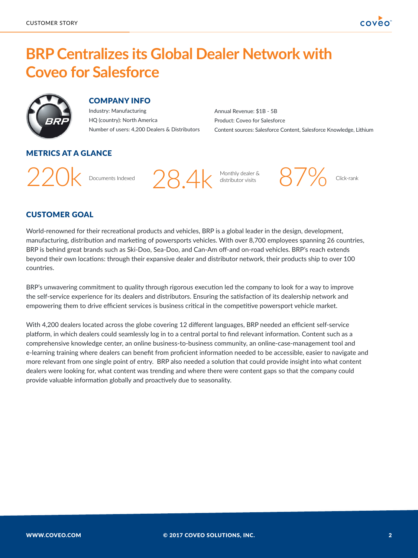# **BRP Centralizes its Global Dealer Network with Coveo for Salesforce**



# COMPANY INFO

Industry: Manufacturing HQ (country): North America Number of users: 4,200 Dealers & Distributors Annual Revenue: \$1B - 5B Product: Coveo for Salesforce Content sources: Salesforce Content, Salesforce Knowledge, Lithium

# METRICS AT A GLANCE

 $220k$  Documents Indexed  $28.4k$  Monthly dealer &  $87\%$  Click-rank

# CUSTOMER GOAL

World-renowned for their recreational products and vehicles, BRP is a global leader in the design, development, manufacturing, distribution and marketing of powersports vehicles. With over 8,700 employees spanning 26 countries, BRP is behind great brands such as Ski-Doo, Sea-Doo, and Can-Am off-and on-road vehicles. BRP's reach extends beyond their own locations: through their expansive dealer and distributor network, their products ship to over 100 countries.

BRP's unwavering commitment to quality through rigorous execution led the company to look for a way to improve the self-service experience for its dealers and distributors. Ensuring the satisfaction of its dealership network and empowering them to drive efficient services is business critical in the competitive powersport vehicle market.

With 4,200 dealers located across the globe covering 12 different languages, BRP needed an efficient self-service platform, in which dealers could seamlessly log in to a central portal to find relevant information. Content such as a comprehensive knowledge center, an online business-to-business community, an online-case-management tool and e-learning training where dealers can benefit from proficient information needed to be accessible, easier to navigate and more relevant from one single point of entry. BRP also needed a solution that could provide insight into what content dealers were looking for, what content was trending and where there were content gaps so that the company could provide valuable information globally and proactively due to seasonality.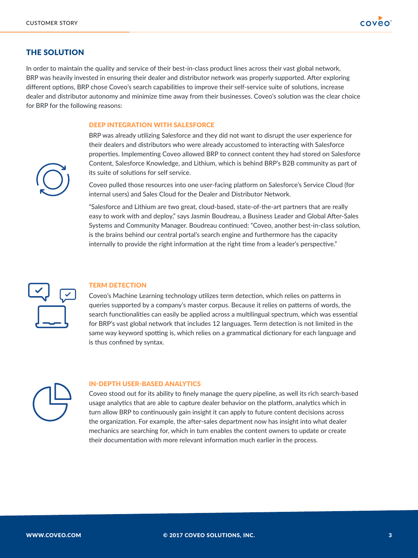# THE SOLUTION

In order to maintain the quality and service of their best-in-class product lines across their vast global network, BRP was heavily invested in ensuring their dealer and distributor network was properly supported. After exploring different options, BRP chose Coveo's search capabilities to improve their self-service suite of solutions, increase dealer and distributor autonomy and minimize time away from their businesses. Coveo's solution was the clear choice for BRP for the following reasons:

#### DEEP INTEGRATION WITH SALESFORCE

BRP was already utilizing Salesforce and they did not want to disrupt the user experience for their dealers and distributors who were already accustomed to interacting with Salesforce properties. Implementing Coveo allowed BRP to connect content they had stored on Salesforce Content, Salesforce Knowledge, and Lithium, which is behind BRP's B2B community as part of its suite of solutions for self service.

Coveo pulled those resources into one user-facing platform on Salesforce's Service Cloud (for internal users) and Sales Cloud for the Dealer and Distributor Network.

"Salesforce and Lithium are two great, cloud-based, state-of-the-art partners that are really easy to work with and deploy," says Jasmin Boudreau, a Business Leader and Global After-Sales Systems and Community Manager. Boudreau continued: "Coveo, another best-in-class solution, is the brains behind our central portal's search engine and furthermore has the capacity internally to provide the right information at the right time from a leader's perspective."



#### TERM DETECTION

Coveo's Machine Learning technology utilizes term detection, which relies on patterns in queries supported by a company's master corpus. Because it relies on patterns of words, the search functionalities can easily be applied across a multilingual spectrum, which was essential for BRP's vast global network that includes 12 languages. Term detection is not limited in the same way keyword spotting is, which relies on a grammatical dictionary for each language and is thus confined by syntax.



#### IN-DEPTH USER-BASED ANALYTICS

Coveo stood out for its ability to finely manage the query pipeline, as well its rich search-based usage analytics that are able to capture dealer behavior on the platform, analytics which in turn allow BRP to continuously gain insight it can apply to future content decisions across the organization. For example, the after-sales department now has insight into what dealer mechanics are searching for, which in turn enables the content owners to update or create their documentation with more relevant information much earlier in the process.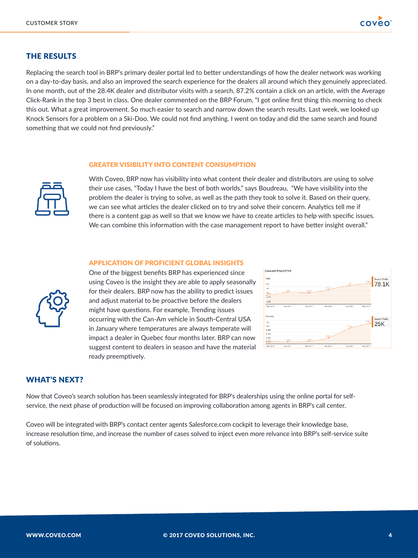# THE RESULTS

Replacing the search tool in BRP's primary dealer portal led to better understandings of how the dealer network was working on a day-to-day basis, and also an improved the search experience for the dealers all around which they genuinely appreciated. In one month, out of the 28.4K dealer and distributor visits with a search, 87.2% contain a click on an article, with the Average Click-Rank in the top 3 best in class. One dealer commented on the BRP Forum, "I got online first thing this morning to check this out. What a great improvement. So much easier to search and narrow down the search results. Last week, we looked up Knock Sensors for a problem on a Ski-Doo. We could not find anything. I went on today and did the same search and found something that we could not find previously."

#### GREATER VISIBILITY INTO CONTENT CONSUMPTION



With Coveo, BRP now has visibility into what content their dealer and distributors are using to solve their use cases, "Today I have the best of both worlds," says Boudreau, "We have visibility into the problem the dealer is trying to solve, as well as the path they took to solve it. Based on their query, we can see what articles the dealer clicked on to try and solve their concern. Analytics tell me if there is a content gap as well so that we know we have to create articles to help with specific issues. We can combine this information with the case management report to have better insight overall."

#### APPLICATION OF PROFICIENT GLOBAL INSIGHTS



One of the biggest benefits BRP has experienced since using Coveo is the insight they are able to apply seasonally for their dealers. BRP now has the ability to predict issues and adjust material to be proactive before the dealers might have questions. For example, Trending issues occurring with the Can-Am vehicle in South-Central USA in January where temperatures are always temperate will impact a dealer in Quebec four months later. BRP can now suggest content to dealers in season and have the material ready preemptively.



### WHAT'S NEXT?

Now that Coveo's search solution has been seamlessly integrated for BRP's dealerships using the online portal for selfservice, the next phase of production will be focused on improving collaboration among agents in BRP's call center.

Coveo will be integrated with BRP's contact center agents Salesforce.com cockpit to leverage their knowledge base, increase resolution time, and increase the number of cases solved to inject even more relvance into BRP's self-service suite of solutions.